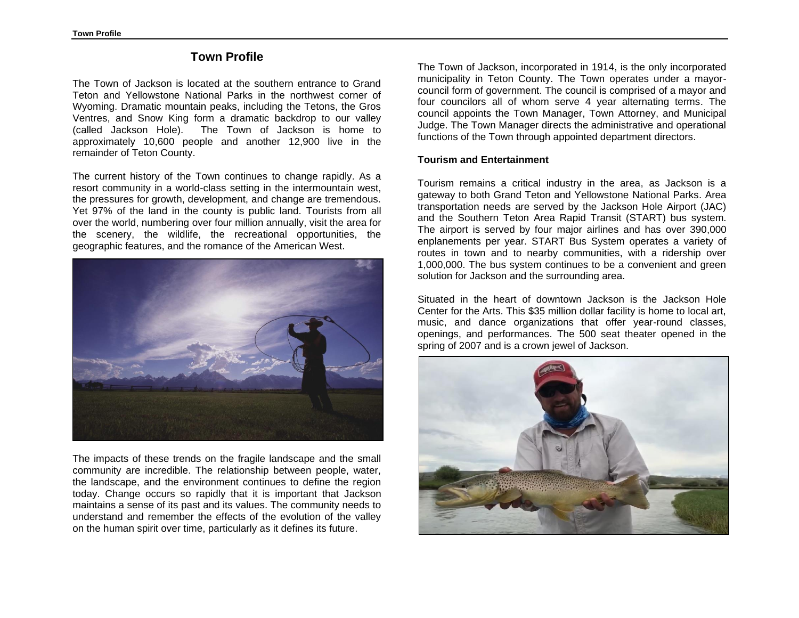# **Town Profile**

The Town of Jackson is located at the southern entrance to Grand Teton and Yellowstone National Parks in the northwest corner of Wyoming. Dramatic mountain peaks, including the Tetons, the Gros Ventres, and Snow King form a dramatic backdrop to our valley (called Jackson Hole). The Town of Jackson is home to approximately 10,600 people and another 12,900 live in the remainder of Teton County.

The current history of the Town continues to change rapidly. As a resort community in a world-class setting in the intermountain west, the pressures for growth, development, and change are tremendous. Yet 97% of the land in the county is public land. Tourists from all over the world, numbering over four million annually, visit the area for the scenery, the wildlife, the recreational opportunities, the geographic features, and the romance of the American West.



The impacts of these trends on the fragile landscape and the small community are incredible. The relationship between people, water, the landscape, and the environment continues to define the region today. Change occurs so rapidly that it is important that Jackson maintains a sense of its past and its values. The community needs to understand and remember the effects of the evolution of the valley on the human spirit over time, particularly as it defines its future.

The Town of Jackson, incorporated in 1914, is the only incorporated municipality in Teton County. The Town operates under a mayorcouncil form of government. The council is comprised of a mayor and four councilors all of whom serve 4 year alternating terms. The council appoints the Town Manager, Town Attorney, and Municipal Judge. The Town Manager directs the administrative and operational functions of the Town through appointed department directors.

## **Tourism and Entertainment**

Tourism remains a critical industry in the area, as Jackson is a gateway to both Grand Teton and Yellowstone National Parks. Area transportation needs are served by the Jackson Hole Airport (JAC) and the Southern Teton Area Rapid Transit (START) bus system. The airport is served by four major airlines and has over 390,000 enplanements per year. START Bus System operates a variety of routes in town and to nearby communities, with a ridership over 1,000,000. The bus system continues to be a convenient and green solution for Jackson and the surrounding area.

Situated in the heart of downtown Jackson is the [Jackson Hole](http://www.jhcenterforthearts.org/) [Center for the Arts.](http://www.jhcenterforthearts.org/) This \$35 million dollar facility is home to local art, music, and dance organizations that offer year-round classes, openings, and performances. The 500 seat theater opened in the spring of 2007 and is a crown jewel of Jackson.

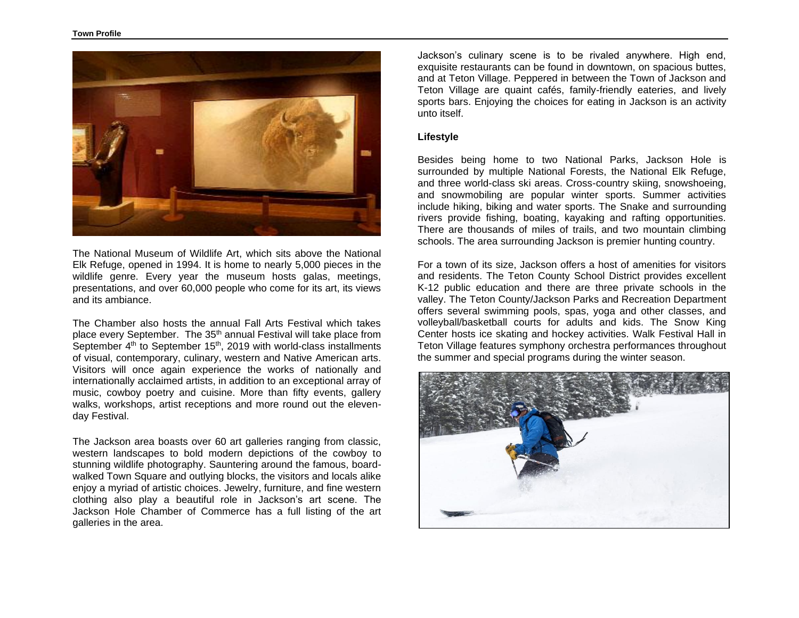

The [National Museum of Wildlife Art,](http://www.wildlifeart.org/) which sits above the National Elk Refuge, opened in 1994. It is home to nearly 5,000 pieces in the wildlife genre. Every year the museum hosts galas, meetings, presentations, and over 60,000 people who come for its art, its views and its ambiance.

The Chamber also hosts the annual Fall Arts Festival which takes place every September. The 35<sup>th</sup> annual Festival will take place from September 4<sup>th</sup> to September 15<sup>th</sup>, 2019 with world-class installments of visual, contemporary, culinary, western and Native American arts. Visitors will once again experience the works of nationally and internationally acclaimed artists, in addition to an exceptional array of music, cowboy poetry and cuisine. More than fifty events, gallery walks, workshops, artist receptions and more round out the elevenday Festival.

The Jackson area boasts over 60 art galleries ranging from classic, western landscapes to bold modern depictions of the cowboy to stunning wildlife photography. Sauntering around the famous, boardwalked Town Square and outlying blocks, the visitors and locals alike enjoy a myriad of artistic choices. Jewelry, furniture, and fine western clothing also play a beautiful role in Jackson's art scene. The [Jackson Hole Chamber of Commerce](http://www.jacksonholechamber.com/) has a full listing of the art galleries in the area.

Jackson's culinary scene is to be rivaled anywhere. High end, exquisite restaurants can be found in downtown, on spacious buttes, and at Teton Village. Peppered in between the Town of Jackson and Teton Village are quaint cafés, family-friendly eateries, and lively sports bars. Enjoying the [choices for eating](http://www.focusproductions.com/HTML/diningguide.htm) in Jackson is an activity unto itself.

#### **Lifestyle**

Besides being home to two National Parks, Jackson Hole is surrounded by multiple National Forests, the National Elk Refuge, and three world-class ski areas. Cross-country skiing, snowshoeing, and snowmobiling are popular winter sports. Summer activities include hiking, biking and water sports. The Snake and surrounding rivers provide fishing, boating, kayaking and rafting opportunities. There are thousands of miles of trails, and two mountain climbing schools. The area surrounding Jackson is premier hunting country.

For a town of its size, Jackson offers a host of amenities for visitors and residents. The Teton County School District provides excellent K-12 public education and there are three private schools in the valley. The Teton County/Jackson Parks and Recreation Department offers several swimming pools, spas, yoga and other classes, and volleyball/basketball courts for adults and kids. The Snow King Center hosts ice skating and hockey activities. Walk Festival Hall in Teton Village features symphony orchestra performances throughout the summer and special programs during the winter season.

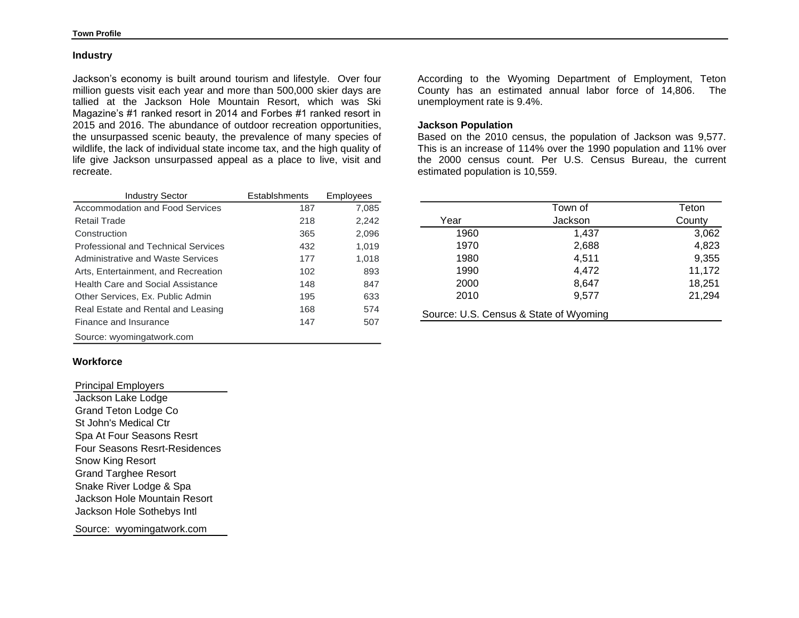#### **Industry**

Jackson's economy is built around tourism and lifestyle. Over four million guests visit each year and more than 500,000 skier days are tallied at the Jackson Hole Mountain Resort, which was Ski Magazine's #1 ranked resort in 2014 and Forbes #1 ranked resort in 2015 and 2016. The abundance of outdoor recreation opportunities, the unsurpassed scenic beauty, the prevalence of many species of wildlife, the lack of individual state income tax, and the high quality of life give Jackson unsurpassed appeal as a place to live, visit and recreate.

| <b>Industry Sector</b>                     | Establshments | Employees |
|--------------------------------------------|---------------|-----------|
| Accommodation and Food Services            | 187           | 7.085     |
| Retail Trade                               | 218           | 2,242     |
| Construction                               | 365           | 2,096     |
| <b>Professional and Technical Services</b> | 432           | 1.019     |
| Administrative and Waste Services          | 177           | 1,018     |
| Arts, Entertainment, and Recreation        | 102           | 893       |
| Health Care and Social Assistance          | 148           | 847       |
| Other Services, Ex. Public Admin           | 195           | 633       |
| Real Estate and Rental and Leasing         | 168           | 574       |
| Finance and Insurance                      | 147           | 507       |
| Source: wyomingatwork.com                  |               |           |

## **Workforce**

Principal Employers Jackson Lake Lodge Grand Teton Lodge Co St John's Medical Ctr Spa At Four Seasons Resrt Four Seasons Resrt-Residences Snow King Resort Grand Targhee Resort Snake River Lodge & Spa Jackson Hole Mountain Resort Jackson Hole Sothebys Intl

Source: wyomingatwork.com

According to the Wyoming Department of Employment, Teton County has an estimated annual labor force of 14,806. The unemployment rate is 9.4%.

## **Jackson Population**

Based on the 2010 census, the population of Jackson was 9,577. This is an increase of 114% over the 1990 population and 11% over the 2000 census count. Per U.S. Census Bureau, the current estimated population is 10,559.

|      | Town of                                | Teton  |
|------|----------------------------------------|--------|
|      |                                        |        |
| Year | Jackson                                | County |
| 1960 | 1,437                                  | 3,062  |
| 1970 | 2,688                                  | 4,823  |
| 1980 | 4,511                                  | 9,355  |
| 1990 | 4,472                                  | 11,172 |
| 2000 | 8,647                                  | 18,251 |
| 2010 | 9,577                                  | 21,294 |
|      | Source: U.S. Census & State of Wyoming |        |